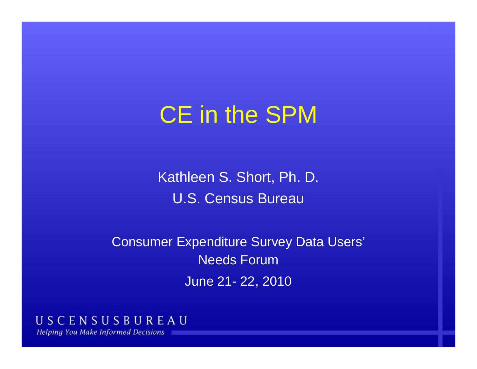# CE in the SPM

Kathleen S. Short, Ph. D. U.S. Census Bureau

Consumer Expenditure Survey Data Users' Needs ForumJune 21- 22, 2010

USCENSUSBUREAU **Helping You Make Informed Decisions**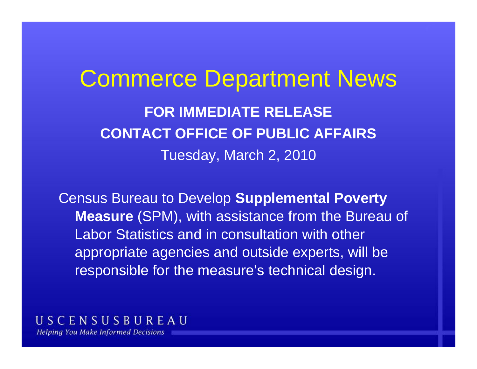# Commerce Department News **FOR IMMEDIATE RELEASECONTACT OFFICE OF PUBLIC AFFAIRS**Tuesday, March 2, 2010

Census Bureau to Develop **Supplemental Poverty Measure** (SPM), with assistance from the Bureau of Labor Statistics and in consultation with other appropriate agencies and outside experts, will be responsible for the measure's technical design.

USCENSUSBUREAU **Helping You Make Informed Decisions**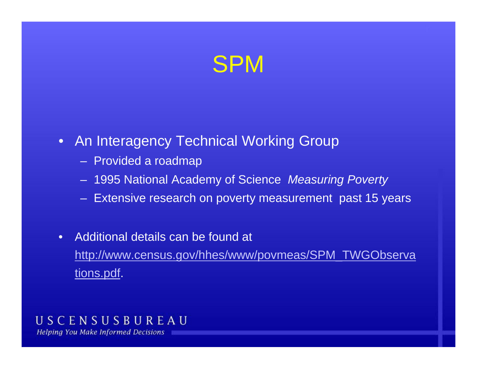# SPM

### • An Interagency Technical Working Group

- Provided a roadmap
- 1995 National Academy of Science *Measuring Poverty*
- Extensive research on poverty measurement past 15 years
- • Additional details can be found at http://www.census.gov/hhes/www/povmeas/SPM\_TWGObserva tions.pdf.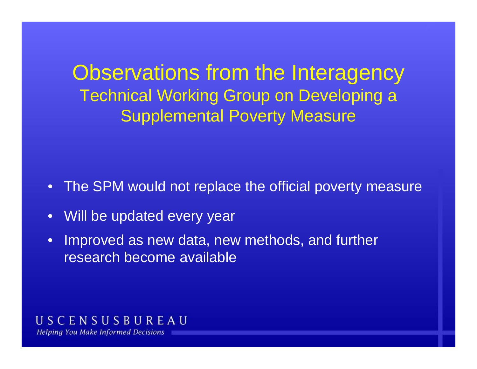Observations from the Interagency Technical Working Group on Developing a **Supplemental Poverty Measure** 

- •The SPM would not replace the official poverty measure
- •Will be updated every year
- • Improved as new data, new methods, and further research become available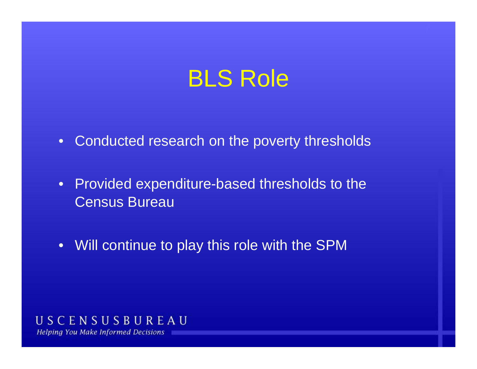# BLS Role

- Conducted research on the poverty thresholds
- Provided expenditure-based thresholds to the Census Bureau
- Will continue to play this role with the SPM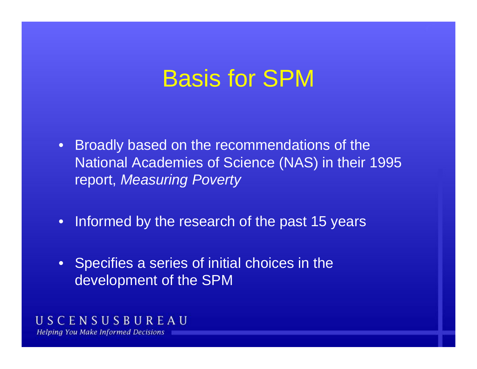# Basis for SPM

- Broadly based on the recommendations of the National Academies of Science (NAS) in their 1995 report, *Measuring Poverty*
- Informed by the research of the past 15 years
- Specifies a series of initial choices in the development of the SPM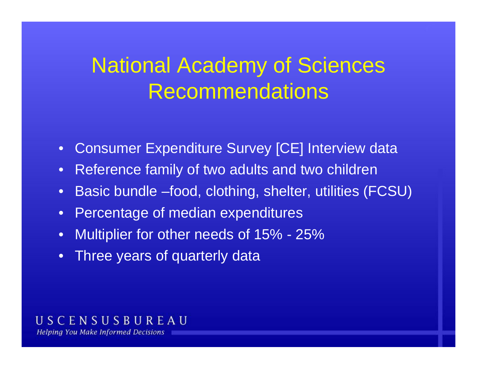# National Academy of Sciences Recommendations

- $\bullet$ Consumer Expenditure Survey [CE] Interview data
- •Reference family of two adults and two children
- •Basic bundle –food, clothing, shelter, utilities (FCSU)
- $\bullet$ Percentage of median expenditures
- $\bullet$ Multiplier for other needs of 15% - 25%
- •Three years of quarterly data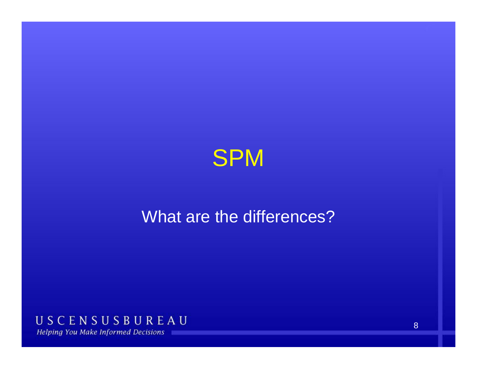

## What are the differences?

USCENSUSBUREAU **Helping You Make Informed Decisions** 

8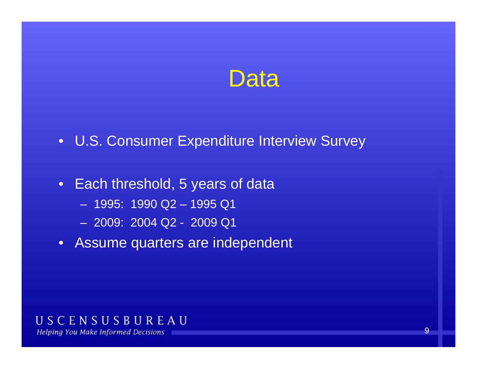## Data

- U.S. Consumer Expenditure Interview Survey
- Each threshold, 5 years of data
	- 1995: 1990 Q2 – 1995 Q1
	- 2009: 2004 Q2 2009 Q1
- Assume quarters are independent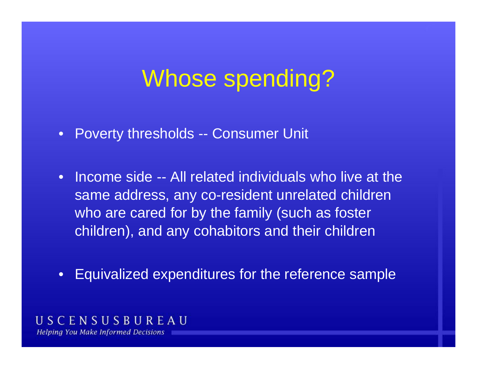# Whose spending?

- Poverty thresholds -- Consumer Unit
- • Income side -- All related individuals who live at the same address, any co-resident unrelated children who are cared for by the family (such as foster children), and any cohabitors and their children
- $\bullet$ Equivalized expenditures for the reference sample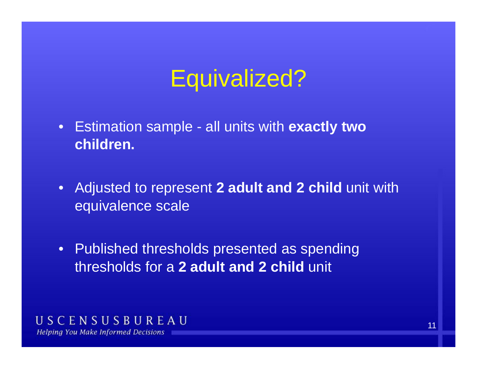# Equivalized?

- Estimation sample all units with **exactly two children.**
- Adjusted to represent **2 adult and 2 child** unit with equivalence scale
- $\bullet~$  Published thresholds presented as spending thresholds for a **2 adult and 2 child** unit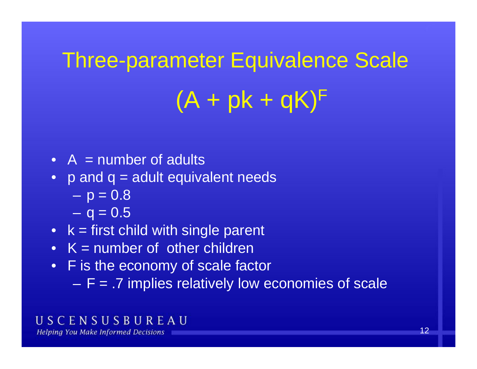# **Three-parameter Equivalence Scale**  $(A + pk + qK)^F$

- $A =$  number of adults
- p and q = adult equivalent needs
	- – $p = 0.8$
	- $-$  q = 0.5  $\,$
- k = first child with single parent
- K = number of other children
- F is the economy of scale factor
	- $\mathcal{L}_{\mathcal{A}}$ F = .7 implies relatively low economies of scale

### USCENSUSBUREAU

**Helping You Make Informed Decisions**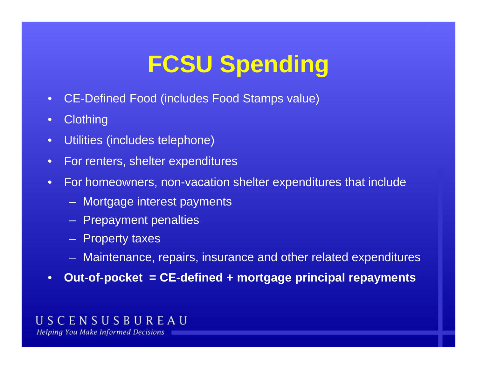# **FCSU Spending**

- $\bullet$ CE-Defined Food (includes Food Stamps value)
- •**Clothing**
- •Utilities (includes telephone)
- $\bullet$ For renters, shelter expenditures
- • For homeowners, non-vacation shelter expenditures that include
	- Mortgage interest payments
	- Prepayment penalties
	- Property taxes
	- Maintenance, repairs, insurance and other related expenditures
- •**Out-of-pocket = CE-defined + mortgage principal repayments**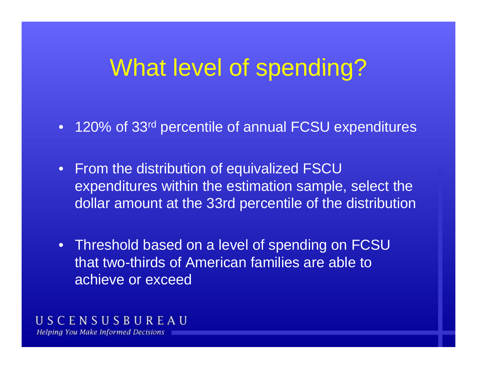## What level of spending?

- 120% of 33<sup>rd</sup> percentile of annual FCSU expenditures
- From the distribution of equivalized FSCU expenditures within the estimation sample, select the dollar amount at the 33rd percentile of the distribution
- Threshold based on a level of spending on FCSU that two-thirds of American families are able to achieve or exceed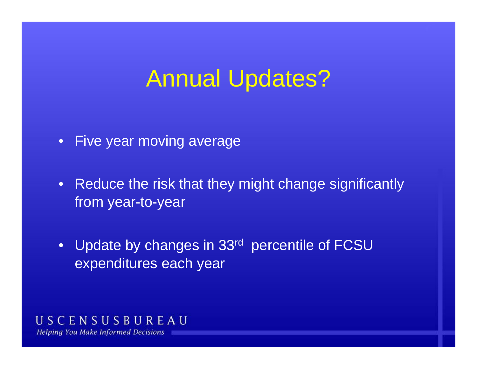# Annual Updates?

- Five year moving average
- Reduce the risk that they might change significantly from year-to-year
- Update by changes in 33<sup>rd</sup> percentile of FCSU expenditures each year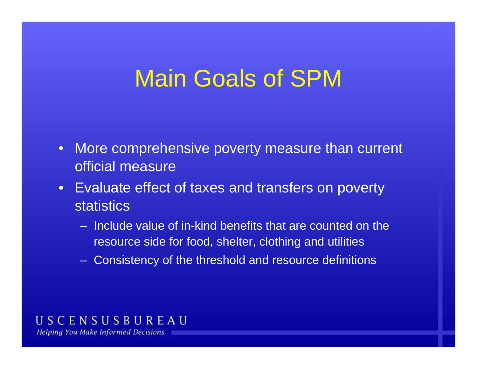# Main Goals of SPM

- $\bullet$  More comprehensive poverty measure than current official measure
- Evaluate effect of taxes and transfers on poverty **statistics** 
	- Include value of in-kind benefits that are counted on the resource side for food, shelter, clothing and utilities
	- Consistency of the threshold and resource definitions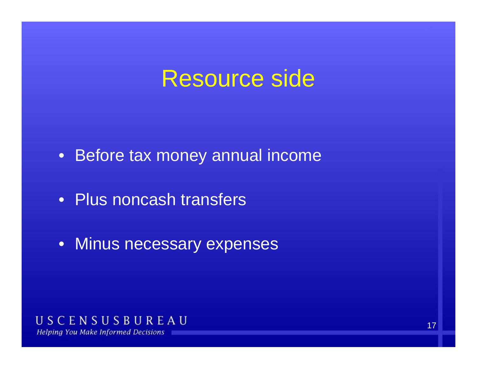# Resource side

- Before tax money annual income
- Plus noncash transfers
- Minus necessary expenses

#### USCENSUSBUREAU **Helping You Make Informed Decisions**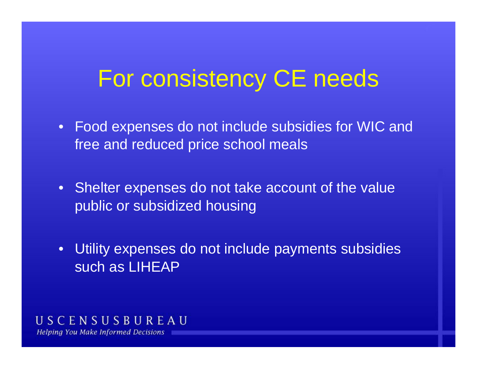# For consistency CE needs

- Food expenses do not include subsidies for WIC and free and reduced price school meals
- Shelter expenses do not take account of the value public or subsidized housing
- $\bullet$  Utility expenses do not include payments subsidies such as LIHEAP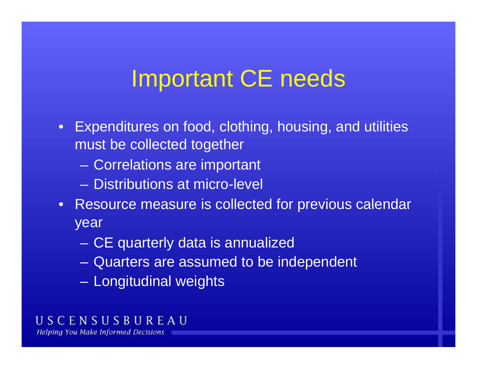# Important CE needs

- Expenditures on food, clothing, housing, and utilities must be collected together
	- Correlations are important
	- Distributions at micro-level
- $\bullet$  Resource measure is collected for previous calendar year
	- $\mathcal{L}_{\mathcal{A}}$ CE quarterly data is annualized
	- Quarters are assumed to be independent
	- Longitudinal weights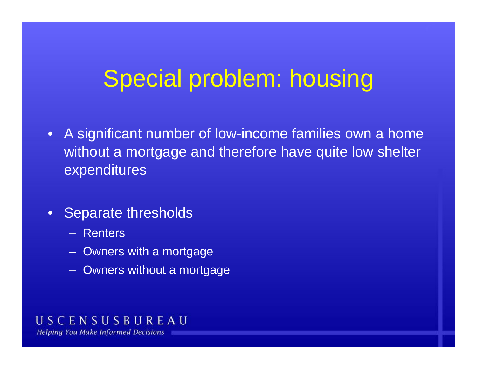# Special problem: housing

- $\bullet$  A significant number of low-income families own a home without a mortgage and therefore have quite low shelter expenditures
- •Separate thresholds
	- Renters
	- Owners with <sup>a</sup> mortgage
	- Owners without a mortgage

#### USCENSUSBUREAU **Helping You Make Informed Decisions**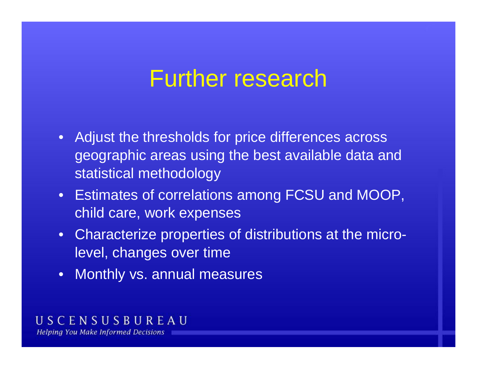# Further research

- Adjust the thresholds for price differences across geographic areas using the best available data and statistical methodology
- Estimates of correlations among FCSU and MOOP, child care, work expenses
- Characterize properties of distributions at the microlevel, changes over time
- Monthly vs. annual measures